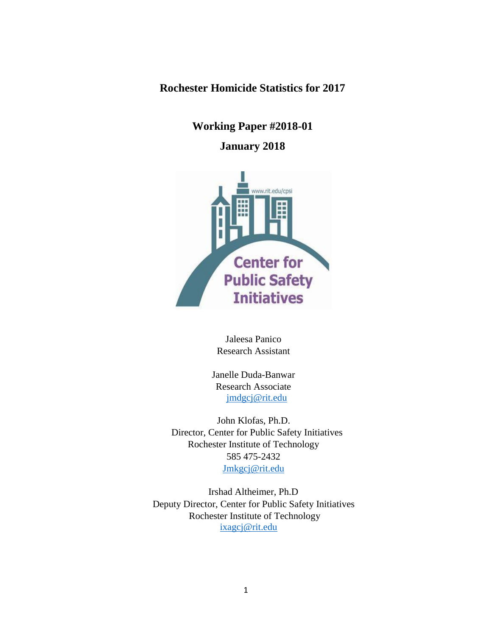**Rochester Homicide Statistics for 2017**

**Working Paper #2018-01**

# **January 2018**



Jaleesa Panico Research Assistant

Janelle Duda-Banwar Research Associate jmdgcj@rit.edu

John Klofas, Ph.D. Director, Center for Public Safety Initiatives Rochester Institute of Technology 585 475-2432 Jmkgcj@rit.edu

Irshad Altheimer, Ph.D Deputy Director, Center for Public Safety Initiatives Rochester Institute of Technology [ixagcj@rit.edu](mailto:ixagcj@rit.edu)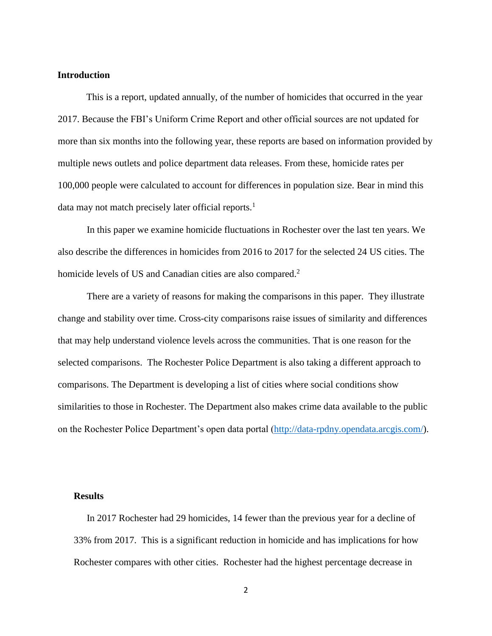# **Introduction**

This is a report, updated annually, of the number of homicides that occurred in the year 2017. Because the FBI's Uniform Crime Report and other official sources are not updated for more than six months into the following year, these reports are based on information provided by multiple news outlets and police department data releases. From these, homicide rates per 100,000 people were calculated to account for differences in population size. Bear in mind this data may not match precisely later official reports.<sup>1</sup>

In this paper we examine homicide fluctuations in Rochester over the last ten years. We also describe the differences in homicides from 2016 to 2017 for the selected 24 US cities. The homicide levels of US and Canadian cities are also compared.<sup>2</sup>

There are a variety of reasons for making the comparisons in this paper. They illustrate change and stability over time. Cross-city comparisons raise issues of similarity and differences that may help understand violence levels across the communities. That is one reason for the selected comparisons. The Rochester Police Department is also taking a different approach to comparisons. The Department is developing a list of cities where social conditions show similarities to those in Rochester. The Department also makes crime data available to the public on the Rochester Police Department's open data portal [\(http://data-rpdny.opendata.arcgis.com/\)](http://data-rpdny.opendata.arcgis.com/).

## **Results**

In 2017 Rochester had 29 homicides, 14 fewer than the previous year for a decline of 33% from 2017. This is a significant reduction in homicide and has implications for how Rochester compares with other cities. Rochester had the highest percentage decrease in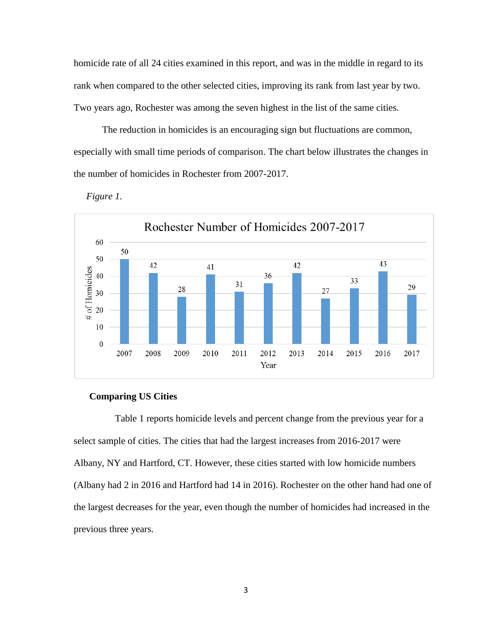homicide rate of all 24 cities examined in this report, and was in the middle in regard to its rank when compared to the other selected cities, improving its rank from last year by two. Two years ago, Rochester was among the seven highest in the list of the same cities.

The reduction in homicides is an encouraging sign but fluctuations are common, especially with small time periods of comparison. The chart below illustrates the changes in the number of homicides in Rochester from 2007-2017.





#### **Comparing US Cities**

Table 1 reports homicide levels and percent change from the previous year for a select sample of cities. The cities that had the largest increases from 2016-2017 were Albany, NY and Hartford, CT. However, these cities started with low homicide numbers (Albany had 2 in 2016 and Hartford had 14 in 2016). Rochester on the other hand had one of the largest decreases for the year, even though the number of homicides had increased in the previous three years.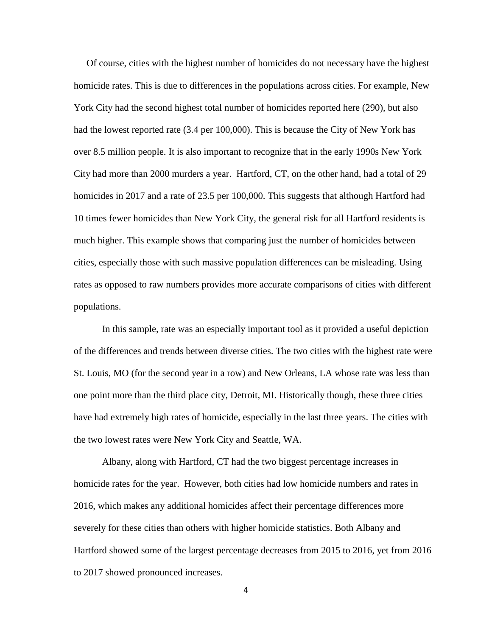Of course, cities with the highest number of homicides do not necessary have the highest homicide rates. This is due to differences in the populations across cities. For example, New York City had the second highest total number of homicides reported here (290), but also had the lowest reported rate (3.4 per 100,000). This is because the City of New York has over 8.5 million people. It is also important to recognize that in the early 1990s New York City had more than 2000 murders a year. Hartford, CT, on the other hand, had a total of 29 homicides in 2017 and a rate of 23.5 per 100,000. This suggests that although Hartford had 10 times fewer homicides than New York City, the general risk for all Hartford residents is much higher. This example shows that comparing just the number of homicides between cities, especially those with such massive population differences can be misleading. Using rates as opposed to raw numbers provides more accurate comparisons of cities with different populations.

In this sample, rate was an especially important tool as it provided a useful depiction of the differences and trends between diverse cities. The two cities with the highest rate were St. Louis, MO (for the second year in a row) and New Orleans, LA whose rate was less than one point more than the third place city, Detroit, MI. Historically though, these three cities have had extremely high rates of homicide, especially in the last three years. The cities with the two lowest rates were New York City and Seattle, WA.

Albany, along with Hartford, CT had the two biggest percentage increases in homicide rates for the year. However, both cities had low homicide numbers and rates in 2016, which makes any additional homicides affect their percentage differences more severely for these cities than others with higher homicide statistics. Both Albany and Hartford showed some of the largest percentage decreases from 2015 to 2016, yet from 2016 to 2017 showed pronounced increases.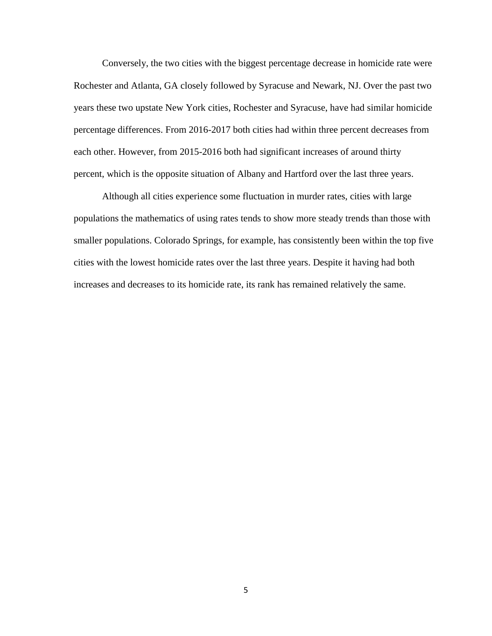Conversely, the two cities with the biggest percentage decrease in homicide rate were Rochester and Atlanta, GA closely followed by Syracuse and Newark, NJ. Over the past two years these two upstate New York cities, Rochester and Syracuse, have had similar homicide percentage differences. From 2016-2017 both cities had within three percent decreases from each other. However, from 2015-2016 both had significant increases of around thirty percent, which is the opposite situation of Albany and Hartford over the last three years.

Although all cities experience some fluctuation in murder rates, cities with large populations the mathematics of using rates tends to show more steady trends than those with smaller populations. Colorado Springs, for example, has consistently been within the top five cities with the lowest homicide rates over the last three years. Despite it having had both increases and decreases to its homicide rate, its rank has remained relatively the same.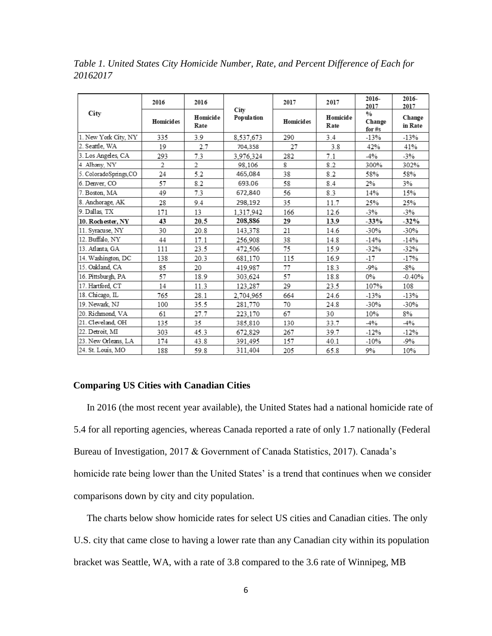| City                  | 2016             | 2016             | City<br>Population | 2017             | 2017             | 2016-<br>2017                       | 2016-<br>2017     |
|-----------------------|------------------|------------------|--------------------|------------------|------------------|-------------------------------------|-------------------|
|                       | <b>Homicides</b> | Homicide<br>Rate |                    | <b>Homicides</b> | Homicide<br>Rate | $\frac{0}{0}$<br>Change<br>for $#s$ | Change<br>in Rate |
| 1. New York City, NY  | 335              | 3.9              | 8,537,673          | 290              | 3.4              | $-13%$                              | $-13%$            |
| 2. Seattle, WA        | 19               | 2.7              | 704,358            | 27               | 3.8              | 42%                                 | 41%               |
| 3. Los Angeles, CA    | 293              | 7.3              | 3.976.324          | 282              | 7.1              | $-4%$                               | $-3%$             |
| 4. Albany, NY         | 2                | 2                | 98.106             | 8                | 8.2              | 300%                                | 302%              |
| 5. ColoradoSprings,CO | 24               | 5.2              | 465,084            | 38               | 8.2              | 58%                                 | 58%               |
| 6. Denver, CO         | 57               | 8.2              | 693.06             | 58               | 8.4              | 2%                                  | 3%                |
| 7. Boston, MA         | 49               | 7.3              | 672,840            | 56               | 8.3              | 14%                                 | 15%               |
| 8. Anchorage, AK      | 28               | 9.4              | 298,192            | 35               | 11.7             | 25%                                 | 25%               |
| 9. Dallas, TX         | 171              | 13               | 1.317.942          | 166              | 12.6             | $-3%$                               | $-3%$             |
| 10. Rochester, NY     | 43               | 20.5             | 208,886            | 29               | 13.9             | $-33%$                              | $-32%$            |
| 11. Syracuse, NY      | 30               | 20.8             | 143,378            | 21               | 14.6             | $-30%$                              | $-30%$            |
| 12. Buffalo, NY       | 44               | 17.1             | 256,908            | 38               | 14.8             | $-14%$                              | $-14%$            |
| 13. Atlanta GA        | 111              | 23.5             | 472,506            | 75               | 15.9             | $-32%$                              | $-32%$            |
| 14. Washington, DC    | 138              | 20.3             | 681,170            | 115              | 16.9             | $-17$                               | $-17%$            |
| 15. Oakland, CA       | 85               | 20               | 419.987            | 77               | 18.3             | $-9%$                               | -8%               |
| 16. Pittsburgh, PA    | 57               | 18.9             | 303,624            | 57               | 18.8             | 0%                                  | $-0.40%$          |
| 17. Hartford, CT      | 14               | 11.3             | 123,287            | 29               | 23.5             | 107%                                | 108               |
| 18. Chicago, IL       | 765              | 28.1             | 2,704,965          | 664              | 24.6             | $-13%$                              | $-13%$            |
| 19. Newark. NJ        | 100              | 35.5             | 281,770            | 70               | 24.8             | $-30%$                              | $-30%$            |
| 20. Richmond, VA      | 61               | 27.7             | 223,170            | 67               | 30               | 10%                                 | 8%                |
| 21. Cleveland, OH     | 135              | 35               | 385,810            | 130              | 33.7             | $-4%$                               | $-4%$             |
| 22. Detroit. MI       | 303              | 45.3             | 672,829            | 267              | 39.7             | $-12%$                              | $-12%$            |
| 23. New Orleans, LA   | 174              | 43.8             | 391.495            | 157              | 40.1             | $-10%$                              | -9%               |
| 24. St. Louis, MO     | 188              | 59.8             | 311,404            | 205              | 65.8             | 9%                                  | 10%               |

*Table 1. United States City Homicide Number, Rate, and Percent Difference of Each for 20162017* 

## **Comparing US Cities with Canadian Cities**

In 2016 (the most recent year available), the United States had a national homicide rate of 5.4 for all reporting agencies, whereas Canada reported a rate of only 1.7 nationally (Federal Bureau of Investigation, 2017 & Government of Canada Statistics, 2017). Canada's homicide rate being lower than the United States' is a trend that continues when we consider comparisons down by city and city population.

The charts below show homicide rates for select US cities and Canadian cities. The only U.S. city that came close to having a lower rate than any Canadian city within its population bracket was Seattle, WA, with a rate of 3.8 compared to the 3.6 rate of Winnipeg, MB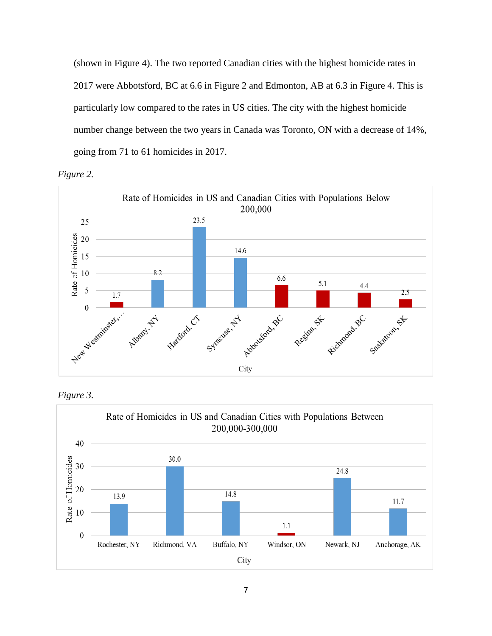(shown in Figure 4). The two reported Canadian cities with the highest homicide rates in 2017 were Abbotsford, BC at 6.6 in Figure 2 and Edmonton, AB at 6.3 in Figure 4. This is particularly low compared to the rates in US cities. The city with the highest homicide number change between the two years in Canada was Toronto, ON with a decrease of 14%, going from 71 to 61 homicides in 2017.







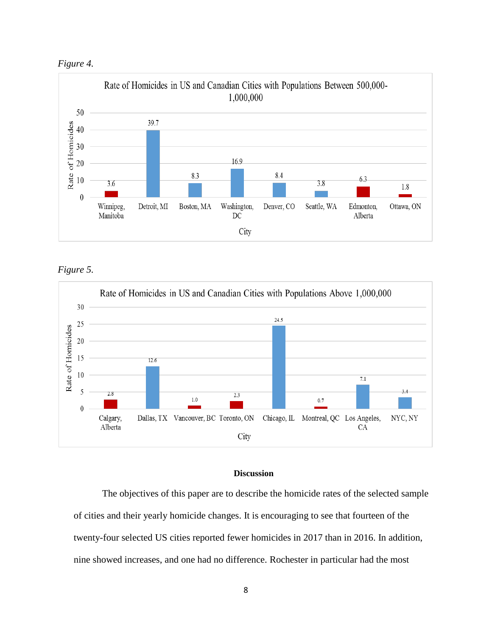



*Figure 5.* 



## **Discussion**

The objectives of this paper are to describe the homicide rates of the selected sample of cities and their yearly homicide changes. It is encouraging to see that fourteen of the twenty-four selected US cities reported fewer homicides in 2017 than in 2016. In addition, nine showed increases, and one had no difference. Rochester in particular had the most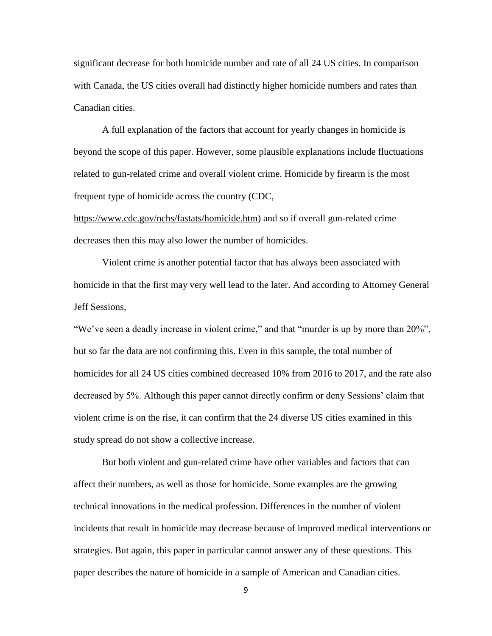significant decrease for both homicide number and rate of all 24 US cities. In comparison with Canada, the US cities overall had distinctly higher homicide numbers and rates than Canadian cities.

A full explanation of the factors that account for yearly changes in homicide is beyond the scope of this paper. However, some plausible explanations include fluctuations related to gun-related crime and overall violent crime. Homicide by firearm is the most frequent type of homicide across the country (CDC[,](https://www.cdc.gov/nchs/fastats/homicide.htm)

[https://www.cdc.gov/nchs/fastats/homicide.htm\)](https://www.cdc.gov/nchs/fastats/homicide.htm) and so if overall gun-related crime decreases then this may also lower the number of homicides.

Violent crime is another potential factor that has always been associated with homicide in that the first may very well lead to the later. And according to Attorney General Jeff Sessions,

"We've seen a deadly increase in violent crime," and that "murder is up by more than 20%", but so far the data are not confirming this. Even in this sample, the total number of homicides for all 24 US cities combined decreased 10% from 2016 to 2017, and the rate also decreased by 5%. Although this paper cannot directly confirm or deny Sessions' claim that violent crime is on the rise, it can confirm that the 24 diverse US cities examined in this study spread do not show a collective increase.

But both violent and gun-related crime have other variables and factors that can affect their numbers, as well as those for homicide. Some examples are the growing technical innovations in the medical profession. Differences in the number of violent incidents that result in homicide may decrease because of improved medical interventions or strategies. But again, this paper in particular cannot answer any of these questions. This paper describes the nature of homicide in a sample of American and Canadian cities.

9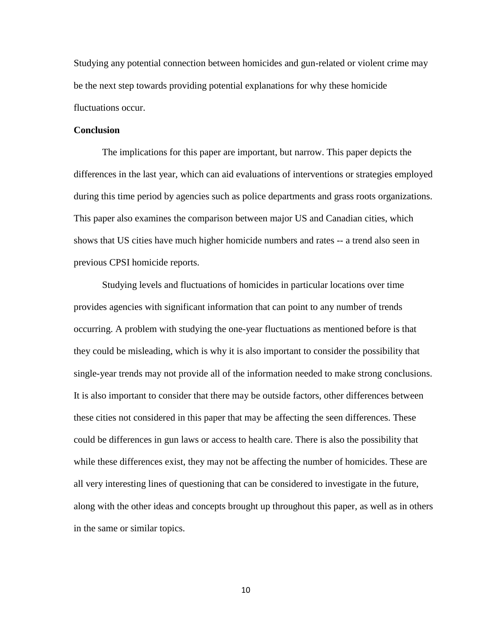Studying any potential connection between homicides and gun-related or violent crime may be the next step towards providing potential explanations for why these homicide fluctuations occur.

#### **Conclusion**

The implications for this paper are important, but narrow. This paper depicts the differences in the last year, which can aid evaluations of interventions or strategies employed during this time period by agencies such as police departments and grass roots organizations. This paper also examines the comparison between major US and Canadian cities, which shows that US cities have much higher homicide numbers and rates -- a trend also seen in previous CPSI homicide reports.

Studying levels and fluctuations of homicides in particular locations over time provides agencies with significant information that can point to any number of trends occurring. A problem with studying the one-year fluctuations as mentioned before is that they could be misleading, which is why it is also important to consider the possibility that single-year trends may not provide all of the information needed to make strong conclusions. It is also important to consider that there may be outside factors, other differences between these cities not considered in this paper that may be affecting the seen differences. These could be differences in gun laws or access to health care. There is also the possibility that while these differences exist, they may not be affecting the number of homicides. These are all very interesting lines of questioning that can be considered to investigate in the future, along with the other ideas and concepts brought up throughout this paper, as well as in others in the same or similar topics.

10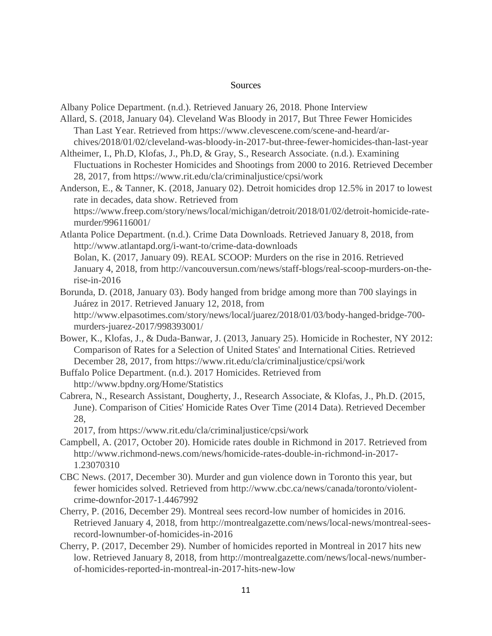#### **Sources**

Albany Police Department. (n.d.). Retrieved January 26, 2018. Phone Interview

- Allard, S. (2018, January 04). Cleveland Was Bloody in 2017, But Three Fewer Homicides Than Last Year. Retrieved from https://www.clevescene.com/scene-and-heard/archives/2018/01/02/cleveland-was-bloody-in-2017-but-three-fewer-homicides-than-last-year
- Altheimer, I., Ph.D, Klofas, J., Ph.D, & Gray, S., Research Associate. (n.d.). Examining Fluctuations in Rochester Homicides and Shootings from 2000 to 2016. Retrieved December 28, 2017, from https://www.rit.edu/cla/criminaljustice/cpsi/work
- Anderson, E., & Tanner, K. (2018, January 02). Detroit homicides drop 12.5% in 2017 to lowest rate in decades, data show. Retrieved from https://www.freep.com/story/news/local/michigan/detroit/2018/01/02/detroit-homicide-ratemurder/996116001/
- Atlanta Police Department. (n.d.). Crime Data Downloads. Retrieved January 8, 2018, from http://www.atlantapd.org/i-want-to/crime-data-downloads Bolan, K. (2017, January 09). REAL SCOOP: Murders on the rise in 2016. Retrieved January 4, 2018, from http://vancouversun.com/news/staff-blogs/real-scoop-murders-on-therise-in-2016
- Borunda, D. (2018, January 03). Body hanged from bridge among more than 700 slayings in Juárez in 2017. Retrieved January 12, 2018, from http://www.elpasotimes.com/story/news/local/juarez/2018/01/03/body-hanged-bridge-700 murders-juarez-2017/998393001/
- Bower, K., Klofas, J., & Duda-Banwar, J. (2013, January 25). Homicide in Rochester, NY 2012: Comparison of Rates for a Selection of United States' and International Cities. Retrieved December 28, 2017, from https://www.rit.edu/cla/criminaljustice/cpsi/work
- Buffalo Police Department. (n.d.). 2017 Homicides. Retrieved from http://www.bpdny.org/Home/Statistics
- Cabrera, N., Research Assistant, Dougherty, J., Research Associate, & Klofas, J., Ph.D. (2015, June). Comparison of Cities' Homicide Rates Over Time (2014 Data). Retrieved December 28,

2017, from https://www.rit.edu/cla/criminaljustice/cpsi/work

- Campbell, A. (2017, October 20). Homicide rates double in Richmond in 2017. Retrieved from http://www.richmond-news.com/news/homicide-rates-double-in-richmond-in-2017- 1.23070310
- CBC News. (2017, December 30). Murder and gun violence down in Toronto this year, but fewer homicides solved. Retrieved from http://www.cbc.ca/news/canada/toronto/violentcrime-downfor-2017-1.4467992
- Cherry, P. (2016, December 29). Montreal sees record-low number of homicides in 2016. Retrieved January 4, 2018, from http://montrealgazette.com/news/local-news/montreal-seesrecord-lownumber-of-homicides-in-2016
- Cherry, P. (2017, December 29). Number of homicides reported in Montreal in 2017 hits new low. Retrieved January 8, 2018, from http://montrealgazette.com/news/local-news/numberof-homicides-reported-in-montreal-in-2017-hits-new-low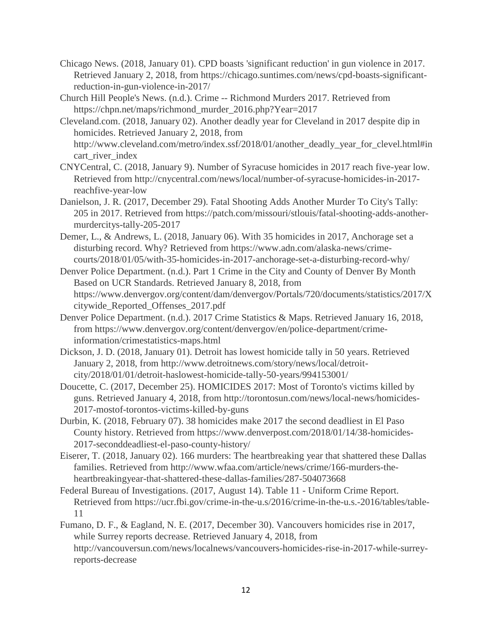- Chicago News. (2018, January 01). CPD boasts 'significant reduction' in gun violence in 2017. Retrieved January 2, 2018, from https://chicago.suntimes.com/news/cpd-boasts-significantreduction-in-gun-violence-in-2017/
- Church Hill People's News. (n.d.). Crime -- Richmond Murders 2017. Retrieved from https://chpn.net/maps/richmond\_murder\_2016.php?Year=2017
- Cleveland.com. (2018, January 02). Another deadly year for Cleveland in 2017 despite dip in homicides. Retrieved January 2, 2018, from http://www.cleveland.com/metro/index.ssf/2018/01/another\_deadly\_year\_for\_clevel.html#in cart\_river\_index
- CNYCentral, C. (2018, January 9). Number of Syracuse homicides in 2017 reach five-year low. Retrieved from http://cnycentral.com/news/local/number-of-syracuse-homicides-in-2017 reachfive-year-low
- Danielson, J. R. (2017, December 29). Fatal Shooting Adds Another Murder To City's Tally: 205 in 2017. Retrieved from https://patch.com/missouri/stlouis/fatal-shooting-adds-anothermurdercitys-tally-205-2017
- Demer, L., & Andrews, L. (2018, January 06). With 35 homicides in 2017, Anchorage set a disturbing record. Why? Retrieved from https://www.adn.com/alaska-news/crimecourts/2018/01/05/with-35-homicides-in-2017-anchorage-set-a-disturbing-record-why/
- Denver Police Department. (n.d.). Part 1 Crime in the City and County of Denver By Month Based on UCR Standards. Retrieved January 8, 2018, from https://www.denvergov.org/content/dam/denvergov/Portals/720/documents/statistics/2017/X citywide\_Reported\_Offenses\_2017.pdf
- Denver Police Department. (n.d.). 2017 Crime Statistics & Maps. Retrieved January 16, 2018, from https://www.denvergov.org/content/denvergov/en/police-department/crimeinformation/crimestatistics-maps.html
- Dickson, J. D. (2018, January 01). Detroit has lowest homicide tally in 50 years. Retrieved January 2, 2018, from http://www.detroitnews.com/story/news/local/detroitcity/2018/01/01/detroit-haslowest-homicide-tally-50-years/994153001/
- Doucette, C. (2017, December 25). HOMICIDES 2017: Most of Toronto's victims killed by guns. Retrieved January 4, 2018, from http://torontosun.com/news/local-news/homicides-2017-mostof-torontos-victims-killed-by-guns
- Durbin, K. (2018, February 07). 38 homicides make 2017 the second deadliest in El Paso County history. Retrieved from https://www.denverpost.com/2018/01/14/38-homicides-2017-seconddeadliest-el-paso-county-history/
- Eiserer, T. (2018, January 02). 166 murders: The heartbreaking year that shattered these Dallas families. Retrieved from http://www.wfaa.com/article/news/crime/166-murders-theheartbreakingyear-that-shattered-these-dallas-families/287-504073668
- Federal Bureau of Investigations. (2017, August 14). Table 11 Uniform Crime Report. Retrieved from https://ucr.fbi.gov/crime-in-the-u.s/2016/crime-in-the-u.s.-2016/tables/table-11
- Fumano, D. F., & Eagland, N. E. (2017, December 30). Vancouvers homicides rise in 2017, while Surrey reports decrease. Retrieved January 4, 2018, from http://vancouversun.com/news/localnews/vancouvers-homicides-rise-in-2017-while-surreyreports-decrease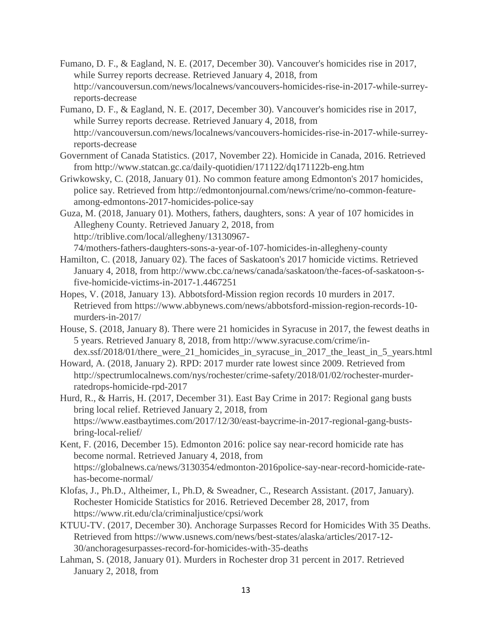- Fumano, D. F., & Eagland, N. E. (2017, December 30). Vancouver's homicides rise in 2017, while Surrey reports decrease. Retrieved January 4, 2018, from http://vancouversun.com/news/localnews/vancouvers-homicides-rise-in-2017-while-surreyreports-decrease
- Fumano, D. F., & Eagland, N. E. (2017, December 30). Vancouver's homicides rise in 2017, while Surrey reports decrease. Retrieved January 4, 2018, from http://vancouversun.com/news/localnews/vancouvers-homicides-rise-in-2017-while-surreyreports-decrease
- Government of Canada Statistics. (2017, November 22). Homicide in Canada, 2016. Retrieved from http://www.statcan.gc.ca/daily-quotidien/171122/dq171122b-eng.htm
- Griwkowsky, C. (2018, January 01). No common feature among Edmonton's 2017 homicides, police say. Retrieved from http://edmontonjournal.com/news/crime/no-common-featureamong-edmontons-2017-homicides-police-say

Guza, M. (2018, January 01). Mothers, fathers, daughters, sons: A year of 107 homicides in Allegheny County. Retrieved January 2, 2018, from http://triblive.com/local/allegheny/13130967- 74/mothers-fathers-daughters-sons-a-year-of-107-homicides-in-allegheny-county

- Hamilton, C. (2018, January 02). The faces of Saskatoon's 2017 homicide victims. Retrieved January 4, 2018, from http://www.cbc.ca/news/canada/saskatoon/the-faces-of-saskatoon-sfive-homicide-victims-in-2017-1.4467251
- Hopes, V. (2018, January 13). Abbotsford-Mission region records 10 murders in 2017. Retrieved from https://www.abbynews.com/news/abbotsford-mission-region-records-10 murders-in-2017/
- House, S. (2018, January 8). There were 21 homicides in Syracuse in 2017, the fewest deaths in 5 years. Retrieved January 8, 2018, from http://www.syracuse.com/crime/index.ssf/2018/01/there\_were\_21\_homicides\_in\_syracuse\_in\_2017\_the\_least\_in\_5\_years.html
- Howard, A. (2018, January 2). RPD: 2017 murder rate lowest since 2009. Retrieved from http://spectrumlocalnews.com/nys/rochester/crime-safety/2018/01/02/rochester-murderratedrops-homicide-rpd-2017
- Hurd, R., & Harris, H. (2017, December 31). East Bay Crime in 2017: Regional gang busts bring local relief. Retrieved January 2, 2018, from https://www.eastbaytimes.com/2017/12/30/east-baycrime-in-2017-regional-gang-bustsbring-local-relief/
- Kent, F. (2016, December 15). Edmonton 2016: police say near-record homicide rate has become normal. Retrieved January 4, 2018, from https://globalnews.ca/news/3130354/edmonton-2016police-say-near-record-homicide-ratehas-become-normal/
- Klofas, J., Ph.D., Altheimer, I., Ph.D, & Sweadner, C., Research Assistant. (2017, January). Rochester Homicide Statistics for 2016. Retrieved December 28, 2017, from https://www.rit.edu/cla/criminaljustice/cpsi/work
- KTUU-TV. (2017, December 30). Anchorage Surpasses Record for Homicides With 35 Deaths. Retrieved from https://www.usnews.com/news/best-states/alaska/articles/2017-12- 30/anchoragesurpasses-record-for-homicides-with-35-deaths
- Lahman, S. (2018, January 01). Murders in Rochester drop 31 percent in 2017. Retrieved January 2, 2018, from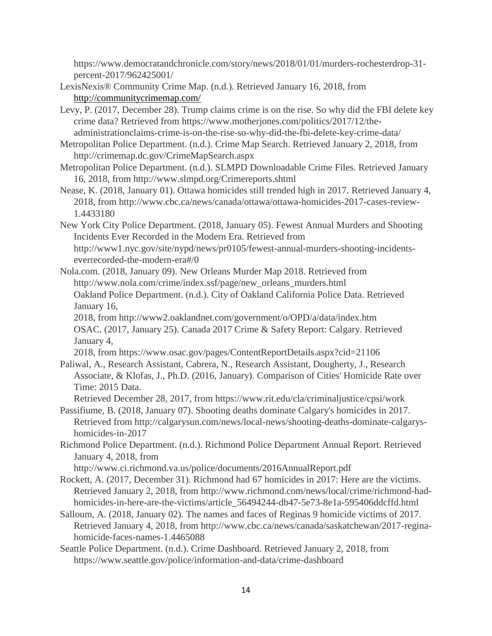https://www.democratandchronicle.com/story/news/2018/01/01/murders-rochesterdrop-31 percent-2017/962425001/

- LexisNexis® Community Crime Map. (n.d.). Retrieved January 16, 2018, from <http://communitycrimemap.com/>
- Levy, P. (2017, December 28). Trump claims crime is on the rise. So why did the FBI delete key crime data? Retrieved from https://www.motherjones.com/politics/2017/12/theadministrationclaims-crime-is-on-the-rise-so-why-did-the-fbi-delete-key-crime-data/
- Metropolitan Police Department. (n.d.). Crime Map Search. Retrieved January 2, 2018, from http://crimemap.dc.gov/CrimeMapSearch.aspx
- Metropolitan Police Department. (n.d.). SLMPD Downloadable Crime Files. Retrieved January 16, 2018, from http://www.slmpd.org/Crimereports.shtml
- Nease, K. (2018, January 01). Ottawa homicides still trended high in 2017. Retrieved January 4, 2018, from http://www.cbc.ca/news/canada/ottawa/ottawa-homicides-2017-cases-review-1.4433180
- New York City Police Department. (2018, January 05). Fewest Annual Murders and Shooting Incidents Ever Recorded in the Modern Era. Retrieved from http://www1.nyc.gov/site/nypd/news/pr0105/fewest-annual-murders-shooting-incidentseverrecorded-the-modern-era#/0
- Nola.com. (2018, January 09). New Orleans Murder Map 2018. Retrieved from http://www.nola.com/crime/index.ssf/page/new\_orleans\_murders.html Oakland Police Department. (n.d.). City of Oakland California Police Data. Retrieved January 16,
	- 2018, from http://www2.oaklandnet.com/government/o/OPD/a/data/index.htm OSAC. (2017, January 25). Canada 2017 Crime & Safety Report: Calgary. Retrieved January 4,

2018, from https://www.osac.gov/pages/ContentReportDetails.aspx?cid=21106

- Paliwal, A., Research Assistant, Cabrera, N., Research Assistant, Dougherty, J., Research Associate, & Klofas, J., Ph.D. (2016, January). Comparison of Cities' Homicide Rate over Time: 2015 Data.
	- Retrieved December 28, 2017, from https://www.rit.edu/cla/criminaljustice/cpsi/work
- Passifiume, B. (2018, January 07). Shooting deaths dominate Calgary's homicides in 2017. Retrieved from http://calgarysun.com/news/local-news/shooting-deaths-dominate-calgaryshomicides-in-2017
- Richmond Police Department. (n.d.). Richmond Police Department Annual Report. Retrieved January 4, 2018, from

http://www.ci.richmond.va.us/police/documents/2016AnnualReport.pdf

- Rockett, A. (2017, December 31). Richmond had 67 homicides in 2017: Here are the victims. Retrieved January 2, 2018, from http://www.richmond.com/news/local/crime/richmond-hadhomicides-in-here-are-the-victims/article\_56494244-db47-5e73-8e1a-595406ddcffd.html
- Salloum, A. (2018, January 02). The names and faces of Reginas 9 homicide victims of 2017. Retrieved January 4, 2018, from http://www.cbc.ca/news/canada/saskatchewan/2017-reginahomicide-faces-names-1.4465088
- Seattle Police Department. (n.d.). Crime Dashboard. Retrieved January 2, 2018, from https://www.seattle.gov/police/information-and-data/crime-dashboard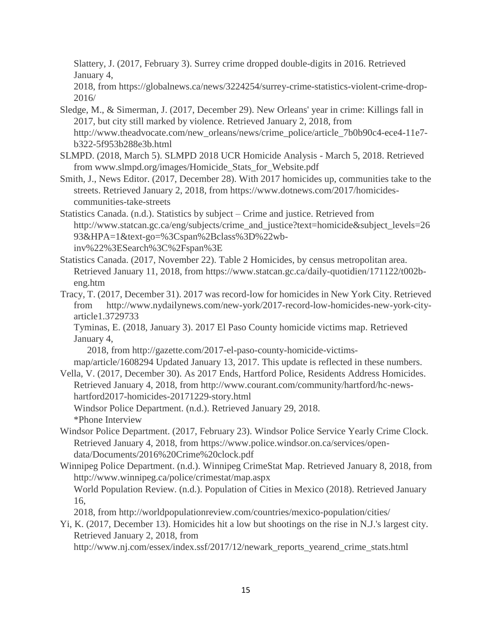Slattery, J. (2017, February 3). Surrey crime dropped double-digits in 2016. Retrieved January 4,

2018, from https://globalnews.ca/news/3224254/surrey-crime-statistics-violent-crime-drop-2016/

- Sledge, M., & Simerman, J. (2017, December 29). New Orleans' year in crime: Killings fall in 2017, but city still marked by violence. Retrieved January 2, 2018, from http://www.theadvocate.com/new\_orleans/news/crime\_police/article\_7b0b90c4-ece4-11e7 b322-5f953b288e3b.html
- SLMPD. (2018, March 5). SLMPD 2018 UCR Homicide Analysis March 5, 2018. Retrieved from www.slmpd.org/images/Homicide\_Stats\_for\_Website.pdf
- Smith, J., News Editor. (2017, December 28). With 2017 homicides up, communities take to the streets. Retrieved January 2, 2018, from https://www.dotnews.com/2017/homicidescommunities-take-streets
- Statistics Canada. (n.d.). Statistics by subject Crime and justice. Retrieved from http://www.statcan.gc.ca/eng/subjects/crime\_and\_justice?text=homicide&subject\_levels=26 93&HPA=1&text-go=%3Cspan%2Bclass%3D%22wbinv%22%3ESearch%3C%2Fspan%3E
- Statistics Canada. (2017, November 22). Table 2 Homicides, by census metropolitan area. Retrieved January 11, 2018, from https://www.statcan.gc.ca/daily-quotidien/171122/t002beng.htm
- Tracy, T. (2017, December 31). 2017 was record-low for homicides in New York City. Retrieved from http://www.nydailynews.com/new-york/2017-record-low-homicides-new-york-cityarticle1.3729733

Tyminas, E. (2018, January 3). 2017 El Paso County homicide victims map. Retrieved January 4,

2018, from http://gazette.com/2017-el-paso-county-homicide-victims-

map/article/1608294 Updated January 13, 2017. This update is reflected in these numbers.

Vella, V. (2017, December 30). As 2017 Ends, Hartford Police, Residents Address Homicides. Retrieved January 4, 2018, from http://www.courant.com/community/hartford/hc-newshartford2017-homicides-20171229-story.html

Windsor Police Department. (n.d.). Retrieved January 29, 2018. \*Phone Interview

- Windsor Police Department. (2017, February 23). Windsor Police Service Yearly Crime Clock. Retrieved January 4, 2018, from https://www.police.windsor.on.ca/services/opendata/Documents/2016%20Crime%20clock.pdf
- Winnipeg Police Department. (n.d.). Winnipeg CrimeStat Map. Retrieved January 8, 2018, from http://www.winnipeg.ca/police/crimestat/map.aspx World Population Review. (n.d.). Population of Cities in Mexico (2018). Retrieved January

16,

2018, from http://worldpopulationreview.com/countries/mexico-population/cities/

Yi, K. (2017, December 13). Homicides hit a low but shootings on the rise in N.J.'s largest city. Retrieved January 2, 2018, from

http://www.nj.com/essex/index.ssf/2017/12/newark\_reports\_yearend\_crime\_stats.html